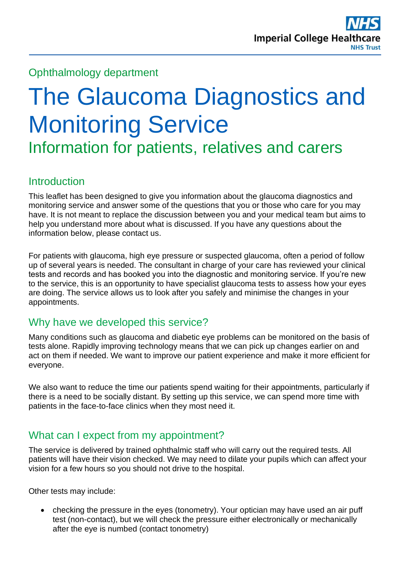# Ophthalmology department

# The Glaucoma Diagnostics and Monitoring Service

Information for patients, relatives and carers

# **Introduction**

This leaflet has been designed to give you information about the glaucoma diagnostics and monitoring service and answer some of the questions that you or those who care for you may have. It is not meant to replace the discussion between you and your medical team but aims to help you understand more about what is discussed. If you have any questions about the information below, please contact us.

For patients with glaucoma, high eye pressure or suspected glaucoma, often a period of follow up of several years is needed. The consultant in charge of your care has reviewed your clinical tests and records and has booked you into the diagnostic and monitoring service. If you're new to the service, this is an opportunity to have specialist glaucoma tests to assess how your eyes are doing. The service allows us to look after you safely and minimise the changes in your appointments.

## Why have we developed this service?

Many conditions such as glaucoma and diabetic eye problems can be monitored on the basis of tests alone. Rapidly improving technology means that we can pick up changes earlier on and act on them if needed. We want to improve our patient experience and make it more efficient for everyone.

We also want to reduce the time our patients spend waiting for their appointments, particularly if there is a need to be socially distant. By setting up this service, we can spend more time with patients in the face-to-face clinics when they most need it.

# What can I expect from my appointment?

The service is delivered by trained ophthalmic staff who will carry out the required tests. All patients will have their vision checked. We may need to dilate your pupils which can affect your vision for a few hours so you should not drive to the hospital.

Other tests may include:

• checking the pressure in the eyes (tonometry). Your optician may have used an air puff test (non-contact), but we will check the pressure either electronically or mechanically after the eye is numbed (contact tonometry)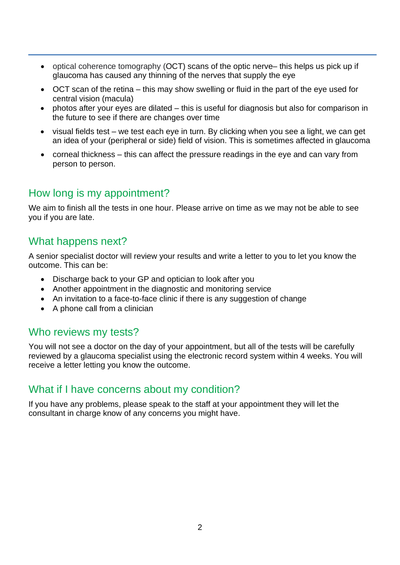- optical coherence tomography (OCT) scans of the optic nerve– this helps us pick up if glaucoma has caused any thinning of the nerves that supply the eye
- OCT scan of the retina this may show swelling or fluid in the part of the eye used for central vision (macula)
- photos after your eyes are dilated this is useful for diagnosis but also for comparison in the future to see if there are changes over time
- visual fields test we test each eye in turn. By clicking when you see a light, we can get an idea of your (peripheral or side) field of vision. This is sometimes affected in glaucoma
- corneal thickness this can affect the pressure readings in the eye and can vary from person to person.

## How long is my appointment?

We aim to finish all the tests in one hour. Please arrive on time as we may not be able to see you if you are late.

#### What happens next?

A senior specialist doctor will review your results and write a letter to you to let you know the outcome. This can be:

- Discharge back to your GP and optician to look after you
- Another appointment in the diagnostic and monitoring service
- An invitation to a face-to-face clinic if there is any suggestion of change
- A phone call from a clinician

#### Who reviews my tests?

You will not see a doctor on the day of your appointment, but all of the tests will be carefully reviewed by a glaucoma specialist using the electronic record system within 4 weeks. You will receive a letter letting you know the outcome.

## What if I have concerns about my condition?

If you have any problems, please speak to the staff at your appointment they will let the consultant in charge know of any concerns you might have.